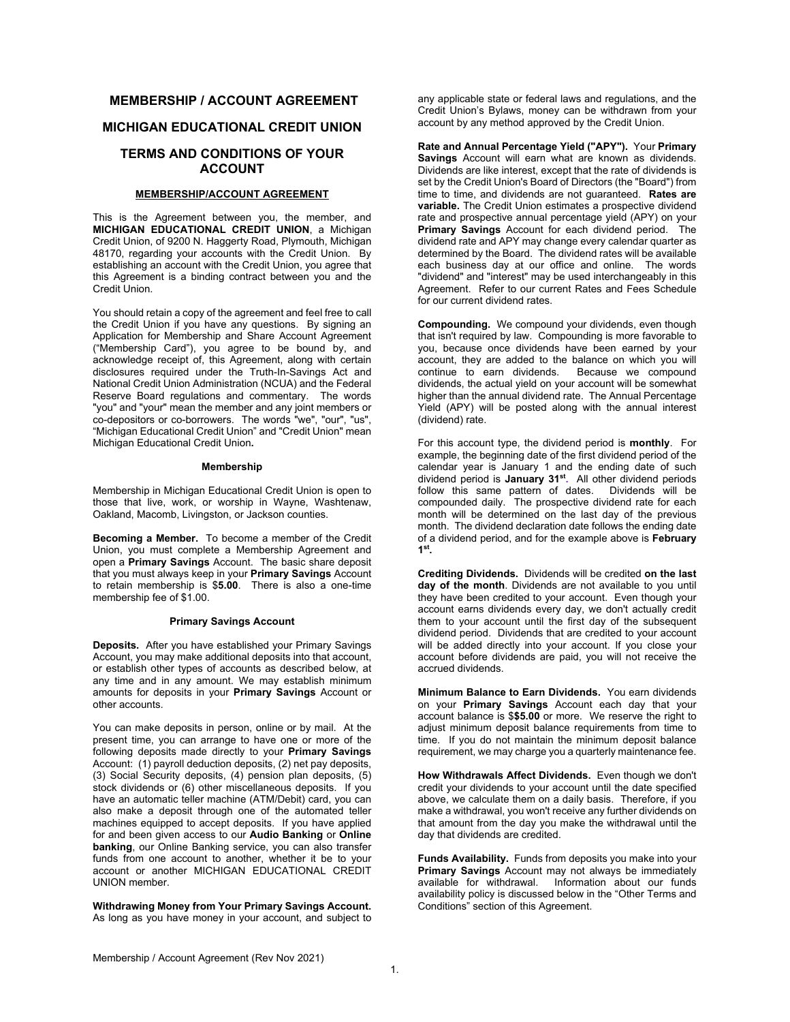# **MEMBERSHIP / ACCOUNT AGREEMENT**

# **MICHIGAN EDUCATIONAL CREDIT UNION**

## **TERMS AND CONDITIONS OF YOUR ACCOUNT**

## **MEMBERSHIP/ACCOUNT AGREEMENT**

This is the Agreement between you, the member, and **MICHIGAN EDUCATIONAL CREDIT UNION**, a Michigan Credit Union, of 9200 N. Haggerty Road, Plymouth, Michigan 48170, regarding your accounts with the Credit Union. By establishing an account with the Credit Union, you agree that this Agreement is a binding contract between you and the Credit Union.

You should retain a copy of the agreement and feel free to call the Credit Union if you have any questions. By signing an Application for Membership and Share Account Agreement ("Membership Card"), you agree to be bound by, and acknowledge receipt of, this Agreement, along with certain disclosures required under the Truth-In-Savings Act and National Credit Union Administration (NCUA) and the Federal Reserve Board regulations and commentary. The words "you" and "your" mean the member and any joint members or co-depositors or co-borrowers. The words "we", "our", "us", "Michigan Educational Credit Union" and "Credit Union" mean Michigan Educational Credit Union**.**

## **Membership**

Membership in Michigan Educational Credit Union is open to those that live, work, or worship in Wayne, Washtenaw, Oakland, Macomb, Livingston, or Jackson counties.

**Becoming a Member.** To become a member of the Credit Union, you must complete a Membership Agreement and open a **Primary Savings** Account. The basic share deposit that you must always keep in your **Primary Savings** Account to retain membership is \$**5.00**. There is also a one-time membership fee of \$1.00.

## **Primary Savings Account**

**Deposits.** After you have established your Primary Savings Account, you may make additional deposits into that account, or establish other types of accounts as described below, at any time and in any amount. We may establish minimum amounts for deposits in your **Primary Savings** Account or other accounts.

You can make deposits in person, online or by mail. At the present time, you can arrange to have one or more of the following deposits made directly to your **Primary Savings** Account: (1) payroll deduction deposits, (2) net pay deposits, (3) Social Security deposits, (4) pension plan deposits, (5) stock dividends or (6) other miscellaneous deposits. If you have an automatic teller machine (ATM/Debit) card, you can also make a deposit through one of the automated teller machines equipped to accept deposits. If you have applied for and been given access to our **Audio Banking** or **Online banking**, our Online Banking service, you can also transfer funds from one account to another, whether it be to your account or another MICHIGAN EDUCATIONAL CREDIT UNION member.

**Withdrawing Money from Your Primary Savings Account.** As long as you have money in your account, and subject to

any applicable state or federal laws and regulations, and the Credit Union's Bylaws, money can be withdrawn from your account by any method approved by the Credit Union.

**Rate and Annual Percentage Yield ("APY").** Your **Primary Savings** Account will earn what are known as dividends. Dividends are like interest, except that the rate of dividends is set by the Credit Union's Board of Directors (the "Board") from time to time, and dividends are not guaranteed. **Rates are variable.** The Credit Union estimates a prospective dividend rate and prospective annual percentage yield (APY) on your **Primary Savings** Account for each dividend period. The dividend rate and APY may change every calendar quarter as determined by the Board. The dividend rates will be available each business day at our office and online. The words "dividend" and "interest" may be used interchangeably in this Agreement. Refer to our current Rates and Fees Schedule for our current dividend rates.

**Compounding.** We compound your dividends, even though that isn't required by law. Compounding is more favorable to you, because once dividends have been earned by your account, they are added to the balance on which you will continue to earn dividends. Because we compound dividends, the actual yield on your account will be somewhat higher than the annual dividend rate. The Annual Percentage Yield (APY) will be posted along with the annual interest (dividend) rate.

For this account type, the dividend period is **monthly**. For example, the beginning date of the first dividend period of the calendar year is January 1 and the ending date of such dividend period is **January 31st.** All other dividend periods follow this same pattern of dates. compounded daily. The prospective dividend rate for each month will be determined on the last day of the previous month. The dividend declaration date follows the ending date of a dividend period, and for the example above is **February 1st.**

**Crediting Dividends.** Dividends will be credited **on the last day of the month**. Dividends are not available to you until they have been credited to your account. Even though your account earns dividends every day, we don't actually credit them to your account until the first day of the subsequent dividend period. Dividends that are credited to your account will be added directly into your account. If you close your account before dividends are paid, you will not receive the accrued dividends.

**Minimum Balance to Earn Dividends.** You earn dividends on your **Primary Savings** Account each day that your account balance is \$**\$5.00** or more. We reserve the right to adjust minimum deposit balance requirements from time to time. If you do not maintain the minimum deposit balance requirement, we may charge you a quarterly maintenance fee.

**How Withdrawals Affect Dividends.** Even though we don't credit your dividends to your account until the date specified above, we calculate them on a daily basis. Therefore, if you make a withdrawal, you won't receive any further dividends on that amount from the day you make the withdrawal until the day that dividends are credited.

**Funds Availability.** Funds from deposits you make into your **Primary Savings** Account may not always be immediately available for withdrawal. Information about our funds availability policy is discussed below in the "Other Terms and Conditions" section of this Agreement.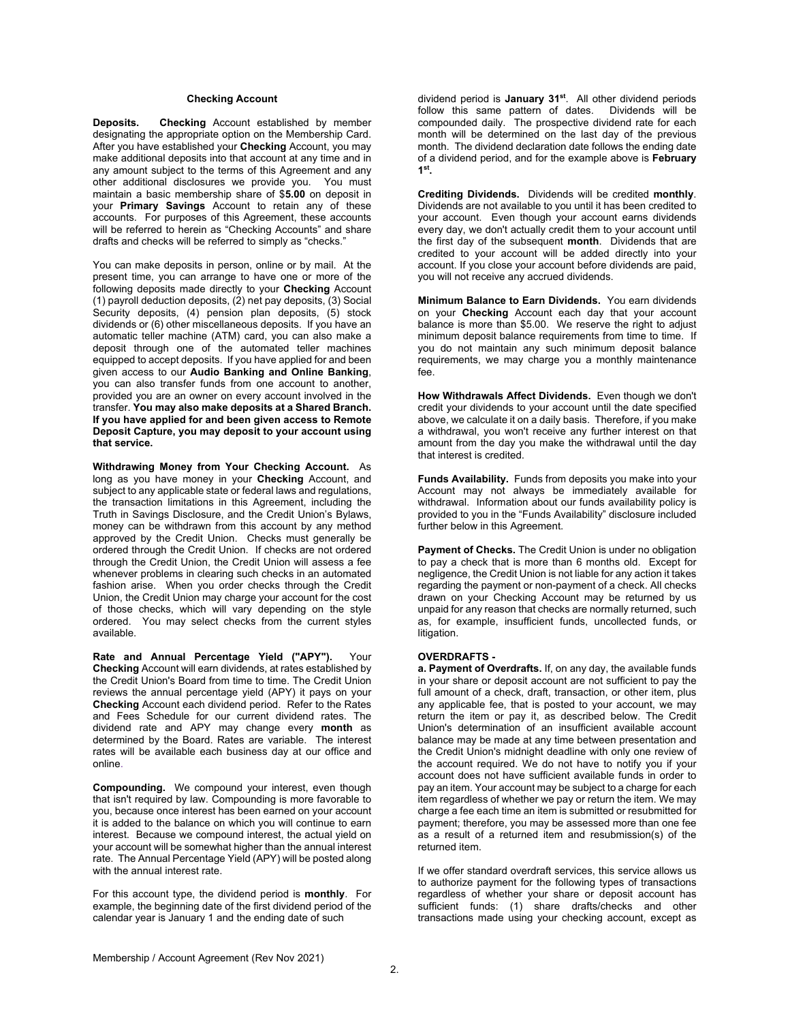## **Checking Account**

**Deposits. Checking** Account established by member designating the appropriate option on the Membership Card. After you have established your **Checking** Account, you may make additional deposits into that account at any time and in any amount subject to the terms of this Agreement and any other additional disclosures we provide you. You must maintain a basic membership share of \$**5.00** on deposit in your **Primary Savings** Account to retain any of these accounts. For purposes of this Agreement, these accounts will be referred to herein as "Checking Accounts" and share drafts and checks will be referred to simply as "checks."

You can make deposits in person, online or by mail. At the present time, you can arrange to have one or more of the following deposits made directly to your **Checking** Account (1) payroll deduction deposits, (2) net pay deposits, (3) Social Security deposits, (4) pension plan deposits, (5) stock dividends or (6) other miscellaneous deposits. If you have an automatic teller machine (ATM) card, you can also make a deposit through one of the automated teller machines equipped to accept deposits. If you have applied for and been given access to our **Audio Banking and Online Banking**, you can also transfer funds from one account to another, provided you are an owner on every account involved in the transfer. **You may also make deposits at a Shared Branch. If you have applied for and been given access to Remote Deposit Capture, you may deposit to your account using that service.** 

**Withdrawing Money from Your Checking Account.** As long as you have money in your **Checking** Account, and subject to any applicable state or federal laws and regulations, the transaction limitations in this Agreement, including the Truth in Savings Disclosure, and the Credit Union's Bylaws, money can be withdrawn from this account by any method approved by the Credit Union. Checks must generally be ordered through the Credit Union. If checks are not ordered through the Credit Union, the Credit Union will assess a fee whenever problems in clearing such checks in an automated fashion arise. When you order checks through the Credit Union, the Credit Union may charge your account for the cost of those checks, which will vary depending on the style ordered. You may select checks from the current styles available.

**Rate and Annual Percentage Yield ("APY").** Your **Checking** Account will earn dividends, at rates established by the Credit Union's Board from time to time. The Credit Union reviews the annual percentage yield (APY) it pays on your **Checking** Account each dividend period. Refer to the Rates and Fees Schedule for our current dividend rates. The dividend rate and APY may change every **month** as determined by the Board. Rates are variable. The interest rates will be available each business day at our office and online.

**Compounding.** We compound your interest, even though that isn't required by law. Compounding is more favorable to you, because once interest has been earned on your account it is added to the balance on which you will continue to earn interest. Because we compound interest, the actual yield on your account will be somewhat higher than the annual interest rate. The Annual Percentage Yield (APY) will be posted along with the annual interest rate.

For this account type, the dividend period is **monthly**. For example, the beginning date of the first dividend period of the calendar year is January 1 and the ending date of such

dividend period is **January 31<sup>st</sup>.** All other dividend periods<br>follow this same pattern of dates. Dividends will be follow this same pattern of dates. compounded daily. The prospective dividend rate for each month will be determined on the last day of the previous month. The dividend declaration date follows the ending date of a dividend period, and for the example above is **February 1st.**

**Crediting Dividends.** Dividends will be credited **monthly**. Dividends are not available to you until it has been credited to your account. Even though your account earns dividends every day, we don't actually credit them to your account until the first day of the subsequent **month**. Dividends that are credited to your account will be added directly into your account. If you close your account before dividends are paid, you will not receive any accrued dividends.

**Minimum Balance to Earn Dividends.** You earn dividends on your **Checking** Account each day that your account balance is more than \$5.00. We reserve the right to adjust minimum deposit balance requirements from time to time. If you do not maintain any such minimum deposit balance requirements, we may charge you a monthly maintenance fee.

**How Withdrawals Affect Dividends.** Even though we don't credit your dividends to your account until the date specified above, we calculate it on a daily basis. Therefore, if you make a withdrawal, you won't receive any further interest on that amount from the day you make the withdrawal until the day that interest is credited.

**Funds Availability.** Funds from deposits you make into your Account may not always be immediately available for withdrawal. Information about our funds availability policy is provided to you in the "Funds Availability" disclosure included further below in this Agreement.

**Payment of Checks.** The Credit Union is under no obligation to pay a check that is more than 6 months old. Except for negligence, the Credit Union is not liable for any action it takes regarding the payment or non-payment of a check. All checks drawn on your Checking Account may be returned by us unpaid for any reason that checks are normally returned, such as, for example, insufficient funds, uncollected funds, or litigation.

# **OVERDRAFTS -**

**a. Payment of Overdrafts.** If, on any day, the available funds in your share or deposit account are not sufficient to pay the full amount of a check, draft, transaction, or other item, plus any applicable fee, that is posted to your account, we may return the item or pay it, as described below. The Credit Union's determination of an insufficient available account balance may be made at any time between presentation and the Credit Union's midnight deadline with only one review of the account required. We do not have to notify you if your account does not have sufficient available funds in order to pay an item. Your account may be subject to a charge for each item regardless of whether we pay or return the item. We may charge a fee each time an item is submitted or resubmitted for payment; therefore, you may be assessed more than one fee as a result of a returned item and resubmission(s) of the returned item.

If we offer standard overdraft services, this service allows us to authorize payment for the following types of transactions regardless of whether your share or deposit account has sufficient funds: (1) share drafts/checks and other transactions made using your checking account, except as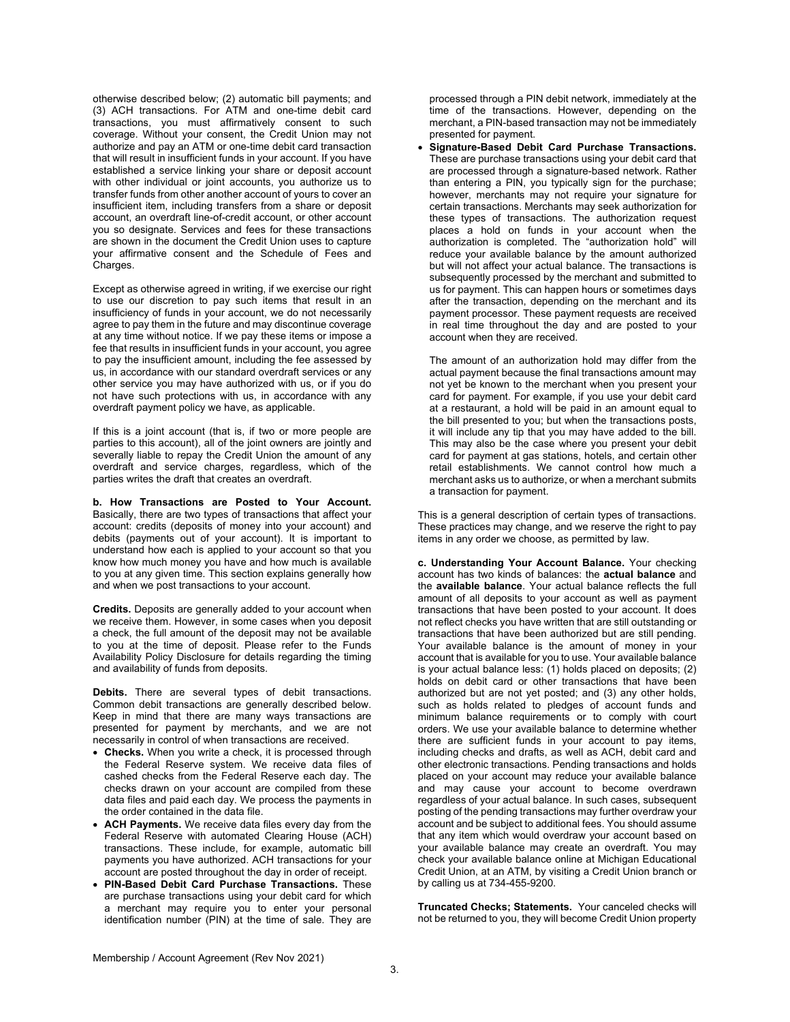otherwise described below; (2) automatic bill payments; and (3) ACH transactions. For ATM and one-time debit card transactions, you must affirmatively consent to such coverage. Without your consent, the Credit Union may not authorize and pay an ATM or one-time debit card transaction that will result in insufficient funds in your account. If you have established a service linking your share or deposit account with other individual or joint accounts, you authorize us to transfer funds from other another account of yours to cover an insufficient item, including transfers from a share or deposit account, an overdraft line-of-credit account, or other account you so designate. Services and fees for these transactions are shown in the document the Credit Union uses to capture your affirmative consent and the Schedule of Fees and Charges.

Except as otherwise agreed in writing, if we exercise our right to use our discretion to pay such items that result in an insufficiency of funds in your account, we do not necessarily agree to pay them in the future and may discontinue coverage at any time without notice. If we pay these items or impose a fee that results in insufficient funds in your account, you agree to pay the insufficient amount, including the fee assessed by us, in accordance with our standard overdraft services or any other service you may have authorized with us, or if you do not have such protections with us, in accordance with any overdraft payment policy we have, as applicable.

If this is a joint account (that is, if two or more people are parties to this account), all of the joint owners are jointly and severally liable to repay the Credit Union the amount of any overdraft and service charges, regardless, which of the parties writes the draft that creates an overdraft.

**b. How Transactions are Posted to Your Account.**  Basically, there are two types of transactions that affect your account: credits (deposits of money into your account) and debits (payments out of your account). It is important to understand how each is applied to your account so that you know how much money you have and how much is available to you at any given time. This section explains generally how and when we post transactions to your account.

**Credits.** Deposits are generally added to your account when we receive them. However, in some cases when you deposit a check, the full amount of the deposit may not be available to you at the time of deposit. Please refer to the Funds Availability Policy Disclosure for details regarding the timing and availability of funds from deposits.

**Debits.** There are several types of debit transactions. Common debit transactions are generally described below. Keep in mind that there are many ways transactions are presented for payment by merchants, and we are not necessarily in control of when transactions are received.

- **Checks.** When you write a check, it is processed through the Federal Reserve system. We receive data files of cashed checks from the Federal Reserve each day. The checks drawn on your account are compiled from these data files and paid each day. We process the payments in the order contained in the data file.
- **ACH Payments.** We receive data files every day from the Federal Reserve with automated Clearing House (ACH) transactions. These include, for example, automatic bill payments you have authorized. ACH transactions for your account are posted throughout the day in order of receipt.
- **PIN-Based Debit Card Purchase Transactions.** These are purchase transactions using your debit card for which a merchant may require you to enter your personal identification number (PIN) at the time of sale. They are

processed through a PIN debit network, immediately at the time of the transactions. However, depending on the merchant, a PIN-based transaction may not be immediately presented for payment.

 **Signature-Based Debit Card Purchase Transactions.**  These are purchase transactions using your debit card that are processed through a signature-based network. Rather than entering a PIN, you typically sign for the purchase; however, merchants may not require your signature for certain transactions. Merchants may seek authorization for these types of transactions. The authorization request places a hold on funds in your account when the authorization is completed. The "authorization hold" will reduce your available balance by the amount authorized but will not affect your actual balance. The transactions is subsequently processed by the merchant and submitted to us for payment. This can happen hours or sometimes days after the transaction, depending on the merchant and its payment processor. These payment requests are received in real time throughout the day and are posted to your account when they are received.

The amount of an authorization hold may differ from the actual payment because the final transactions amount may not yet be known to the merchant when you present your card for payment. For example, if you use your debit card at a restaurant, a hold will be paid in an amount equal to the bill presented to you; but when the transactions posts, it will include any tip that you may have added to the bill. This may also be the case where you present your debit card for payment at gas stations, hotels, and certain other retail establishments. We cannot control how much a merchant asks us to authorize, or when a merchant submits a transaction for payment.

This is a general description of certain types of transactions. These practices may change, and we reserve the right to pay items in any order we choose, as permitted by law.

**c. Understanding Your Account Balance.** Your checking account has two kinds of balances: the **actual balance** and the **available balance**. Your actual balance reflects the full amount of all deposits to your account as well as payment transactions that have been posted to your account. It does not reflect checks you have written that are still outstanding or transactions that have been authorized but are still pending. Your available balance is the amount of money in your account that is available for you to use. Your available balance is your actual balance less: (1) holds placed on deposits; (2) holds on debit card or other transactions that have been authorized but are not yet posted; and (3) any other holds, such as holds related to pledges of account funds and minimum balance requirements or to comply with court orders. We use your available balance to determine whether there are sufficient funds in your account to pay items, including checks and drafts, as well as ACH, debit card and other electronic transactions. Pending transactions and holds placed on your account may reduce your available balance and may cause your account to become overdrawn regardless of your actual balance. In such cases, subsequent posting of the pending transactions may further overdraw your account and be subject to additional fees. You should assume that any item which would overdraw your account based on your available balance may create an overdraft. You may check your available balance online at Michigan Educational Credit Union, at an ATM, by visiting a Credit Union branch or by calling us at 734-455-9200.

**Truncated Checks; Statements.** Your canceled checks will not be returned to you, they will become Credit Union property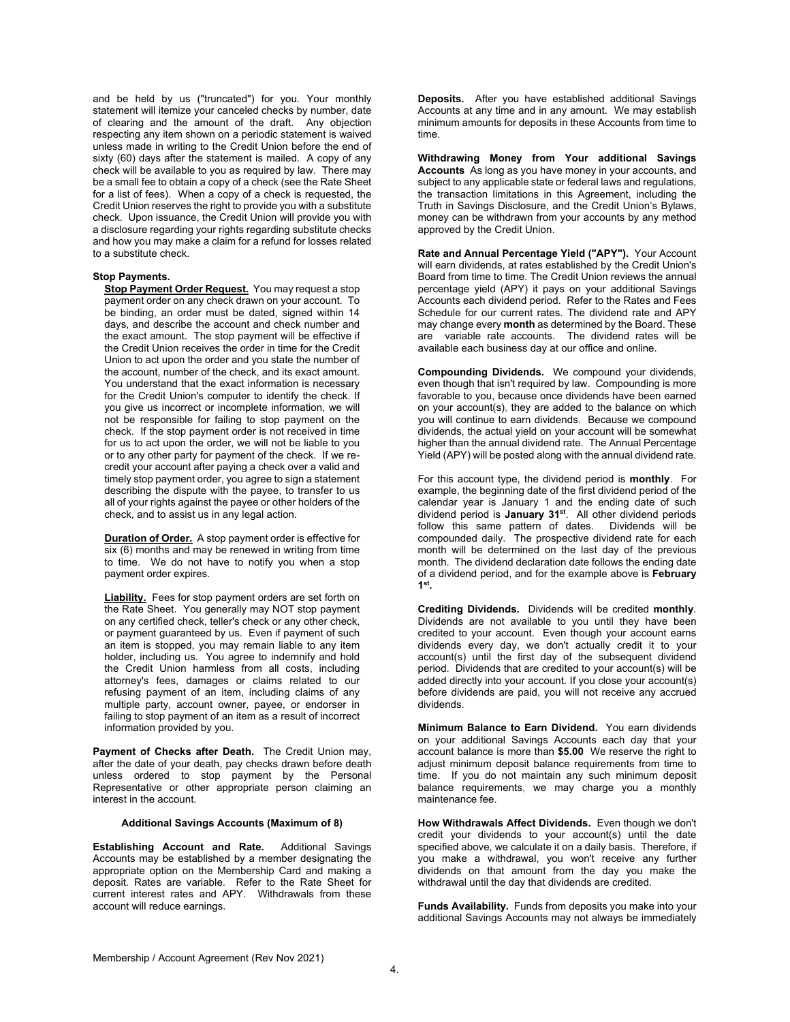and be held by us ("truncated") for you. Your monthly statement will itemize your canceled checks by number, date of clearing and the amount of the draft. Any objection respecting any item shown on a periodic statement is waived unless made in writing to the Credit Union before the end of sixty (60) days after the statement is mailed. A copy of any check will be available to you as required by law. There may be a small fee to obtain a copy of a check (see the Rate Sheet for a list of fees). When a copy of a check is requested, the Credit Union reserves the right to provide you with a substitute check. Upon issuance, the Credit Union will provide you with a disclosure regarding your rights regarding substitute checks and how you may make a claim for a refund for losses related to a substitute check.

#### **Stop Payments.**

**Stop Payment Order Request.** You may request a stop payment order on any check drawn on your account. To be binding, an order must be dated, signed within 14 days, and describe the account and check number and the exact amount. The stop payment will be effective if the Credit Union receives the order in time for the Credit Union to act upon the order and you state the number of the account, number of the check, and its exact amount. You understand that the exact information is necessary for the Credit Union's computer to identify the check. If you give us incorrect or incomplete information, we will not be responsible for failing to stop payment on the check. If the stop payment order is not received in time for us to act upon the order, we will not be liable to you or to any other party for payment of the check. If we recredit your account after paying a check over a valid and timely stop payment order, you agree to sign a statement describing the dispute with the payee, to transfer to us all of your rights against the payee or other holders of the check, and to assist us in any legal action.

**Duration of Order.** A stop payment order is effective for  $s$ ix  $(6)$  months and may be renewed in writing from time to time. We do not have to notify you when a stop payment order expires.

**Liability.** Fees for stop payment orders are set forth on the Rate Sheet. You generally may NOT stop payment on any certified check, teller's check or any other check, or payment guaranteed by us. Even if payment of such an item is stopped, you may remain liable to any item holder, including us. You agree to indemnify and hold the Credit Union harmless from all costs, including attorney's fees, damages or claims related to our refusing payment of an item, including claims of any multiple party, account owner, payee, or endorser in failing to stop payment of an item as a result of incorrect information provided by you.

**Payment of Checks after Death.** The Credit Union may, after the date of your death, pay checks drawn before death unless ordered to stop payment by the Personal Representative or other appropriate person claiming an interest in the account.

## **Additional Savings Accounts (Maximum of 8)**

**Establishing Account and Rate.** Additional Savings Accounts may be established by a member designating the appropriate option on the Membership Card and making a deposit. Rates are variable. Refer to the Rate Sheet for current interest rates and APY. Withdrawals from these account will reduce earnings.

**Deposits.** After you have established additional Savings Accounts at any time and in any amount. We may establish minimum amounts for deposits in these Accounts from time to time.

**Withdrawing Money from Your additional Savings Accounts** As long as you have money in your accounts, and subject to any applicable state or federal laws and regulations. the transaction limitations in this Agreement, including the Truth in Savings Disclosure, and the Credit Union's Bylaws, money can be withdrawn from your accounts by any method approved by the Credit Union.

**Rate and Annual Percentage Yield ("APY").** Your Account will earn dividends, at rates established by the Credit Union's Board from time to time. The Credit Union reviews the annual percentage yield (APY) it pays on your additional Savings Accounts each dividend period. Refer to the Rates and Fees Schedule for our current rates. The dividend rate and APY may change every **month** as determined by the Board. These are variable rate accounts. The dividend rates will be available each business day at our office and online.

**Compounding Dividends.** We compound your dividends, even though that isn't required by law. Compounding is more favorable to you, because once dividends have been earned on your account(s), they are added to the balance on which you will continue to earn dividends. Because we compound dividends, the actual yield on your account will be somewhat higher than the annual dividend rate. The Annual Percentage Yield (APY) will be posted along with the annual dividend rate.

For this account type, the dividend period is **monthly**. For example, the beginning date of the first dividend period of the calendar year is January 1 and the ending date of such dividend period is **January 31st**. All other dividend periods follow this same pattern of dates. compounded daily. The prospective dividend rate for each month will be determined on the last day of the previous month. The dividend declaration date follows the ending date of a dividend period, and for the example above is **February 1st.**

**Crediting Dividends.** Dividends will be credited **monthly**. Dividends are not available to you until they have been credited to your account. Even though your account earns dividends every day, we don't actually credit it to your account(s) until the first day of the subsequent dividend period. Dividends that are credited to your account(s) will be added directly into your account. If you close your account(s) before dividends are paid, you will not receive any accrued dividends.

**Minimum Balance to Earn Dividend.** You earn dividends on your additional Savings Accounts each day that your account balance is more than **\$5.00** We reserve the right to adjust minimum deposit balance requirements from time to time. If you do not maintain any such minimum deposit balance requirements, we may charge you a monthly maintenance fee.

**How Withdrawals Affect Dividends.** Even though we don't credit your dividends to your account(s) until the date specified above, we calculate it on a daily basis. Therefore, if you make a withdrawal, you won't receive any further dividends on that amount from the day you make the withdrawal until the day that dividends are credited.

**Funds Availability.** Funds from deposits you make into your additional Savings Accounts may not always be immediately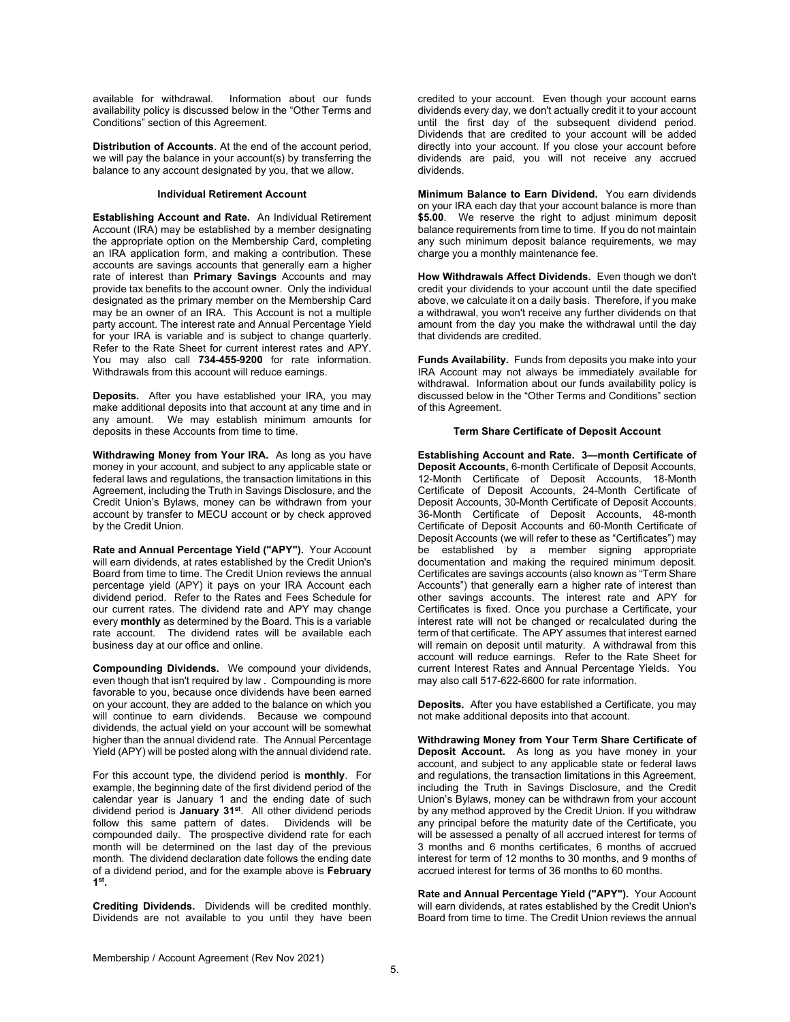available for withdrawal. Information about our funds availability policy is discussed below in the "Other Terms and Conditions" section of this Agreement.

**Distribution of Accounts**. At the end of the account period, we will pay the balance in your account(s) by transferring the balance to any account designated by you, that we allow.

#### **Individual Retirement Account**

**Establishing Account and Rate.** An Individual Retirement Account (IRA) may be established by a member designating the appropriate option on the Membership Card, completing an IRA application form, and making a contribution. These accounts are savings accounts that generally earn a higher rate of interest than **Primary Savings** Accounts and may provide tax benefits to the account owner. Only the individual designated as the primary member on the Membership Card may be an owner of an IRA. This Account is not a multiple party account. The interest rate and Annual Percentage Yield for your IRA is variable and is subject to change quarterly. Refer to the Rate Sheet for current interest rates and APY. You may also call **734-455-9200** for rate information. Withdrawals from this account will reduce earnings.

**Deposits.** After you have established your IRA, you may make additional deposits into that account at any time and in any amount. We may establish minimum amounts for deposits in these Accounts from time to time.

**Withdrawing Money from Your IRA.** As long as you have money in your account, and subject to any applicable state or federal laws and regulations, the transaction limitations in this Agreement, including the Truth in Savings Disclosure, and the Credit Union's Bylaws, money can be withdrawn from your account by transfer to MECU account or by check approved by the Credit Union.

**Rate and Annual Percentage Yield ("APY").** Your Account will earn dividends, at rates established by the Credit Union's Board from time to time. The Credit Union reviews the annual percentage yield (APY) it pays on your IRA Account each dividend period. Refer to the Rates and Fees Schedule for our current rates. The dividend rate and APY may change every **monthly** as determined by the Board. This is a variable rate account. The dividend rates will be available each business day at our office and online.

**Compounding Dividends.** We compound your dividends, even though that isn't required by law . Compounding is more favorable to you, because once dividends have been earned on your account, they are added to the balance on which you will continue to earn dividends. Because we compound dividends, the actual yield on your account will be somewhat higher than the annual dividend rate. The Annual Percentage Yield (APY) will be posted along with the annual dividend rate.

For this account type, the dividend period is **monthly**. For example, the beginning date of the first dividend period of the calendar year is January 1 and the ending date of such dividend period is **January 31st**. All other dividend periods follow this same pattern of dates. Dividends will be compounded daily. The prospective dividend rate for each month will be determined on the last day of the previous month. The dividend declaration date follows the ending date of a dividend period, and for the example above is **February 1st.**

**Crediting Dividends.** Dividends will be credited monthly. Dividends are not available to you until they have been

credited to your account. Even though your account earns dividends every day, we don't actually credit it to your account until the first day of the subsequent dividend period. Dividends that are credited to your account will be added directly into your account. If you close your account before dividends are paid, you will not receive any accrued dividends.

**Minimum Balance to Earn Dividend.** You earn dividends on your IRA each day that your account balance is more than **\$5.00**. We reserve the right to adjust minimum deposit balance requirements from time to time. If you do not maintain any such minimum deposit balance requirements, we may charge you a monthly maintenance fee.

**How Withdrawals Affect Dividends.** Even though we don't credit your dividends to your account until the date specified above, we calculate it on a daily basis. Therefore, if you make a withdrawal, you won't receive any further dividends on that amount from the day you make the withdrawal until the day that dividends are credited.

**Funds Availability.** Funds from deposits you make into your IRA Account may not always be immediately available for withdrawal. Information about our funds availability policy is discussed below in the "Other Terms and Conditions" section of this Agreement.

## **Term Share Certificate of Deposit Account**

**Establishing Account and Rate. 3—month Certificate of Deposit Accounts,** 6-month Certificate of Deposit Accounts, 12-Month Certificate of Deposit Accounts, 18-Month Certificate of Deposit Accounts, 24-Month Certificate of Deposit Accounts, 30-Month Certificate of Deposit Accounts, 36-Month Certificate of Deposit Accounts, 48-month Certificate of Deposit Accounts and 60-Month Certificate of Deposit Accounts (we will refer to these as "Certificates") may be established by a member signing appropriate documentation and making the required minimum deposit. Certificates are savings accounts (also known as "Term Share Accounts") that generally earn a higher rate of interest than other savings accounts. The interest rate and APY for Certificates is fixed. Once you purchase a Certificate, your interest rate will not be changed or recalculated during the term of that certificate. The APY assumes that interest earned will remain on deposit until maturity. A withdrawal from this account will reduce earnings. Refer to the Rate Sheet for current Interest Rates and Annual Percentage Yields. You may also call 517-622-6600 for rate information.

**Deposits.** After you have established a Certificate, you may not make additional deposits into that account.

**Withdrawing Money from Your Term Share Certificate of Deposit Account.** As long as you have money in your account, and subject to any applicable state or federal laws and regulations, the transaction limitations in this Agreement, including the Truth in Savings Disclosure, and the Credit Union's Bylaws, money can be withdrawn from your account by any method approved by the Credit Union. If you withdraw any principal before the maturity date of the Certificate, you will be assessed a penalty of all accrued interest for terms of 3 months and 6 months certificates, 6 months of accrued interest for term of 12 months to 30 months, and 9 months of accrued interest for terms of 36 months to 60 months.

**Rate and Annual Percentage Yield ("APY").** Your Account will earn dividends, at rates established by the Credit Union's Board from time to time. The Credit Union reviews the annual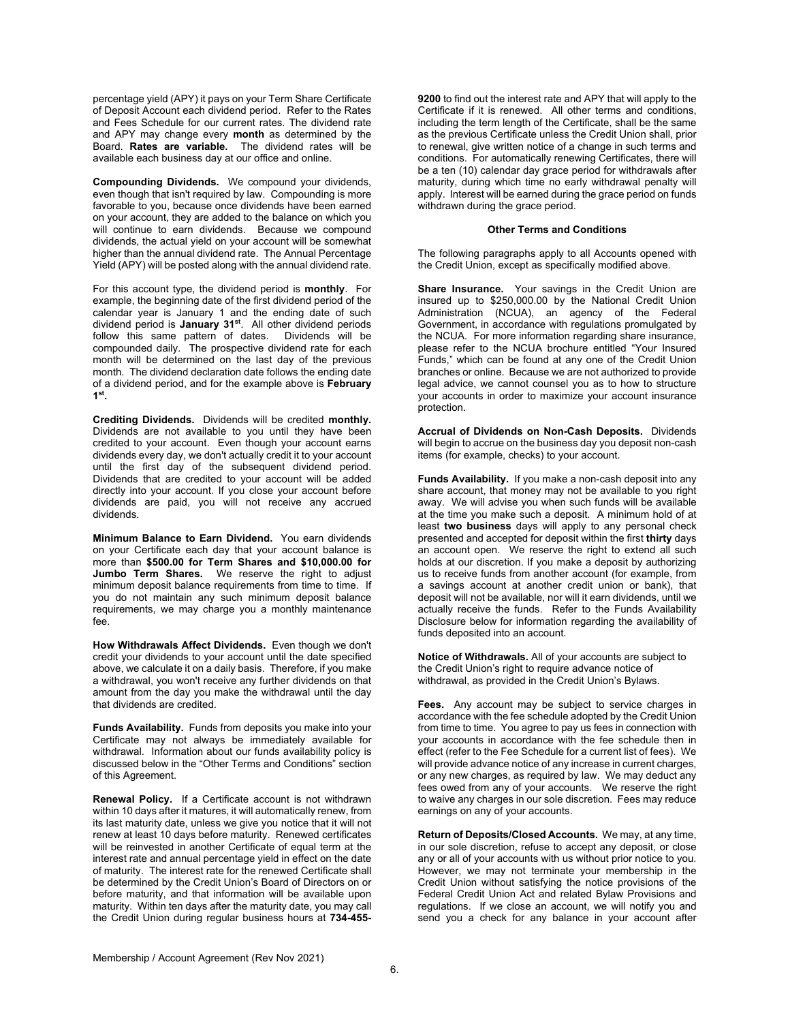percentage yield (APY) it pays on your Term Share Certificate of Deposit Account each dividend period. Refer to the Rates and Fees Schedule for our current rates. The dividend rate and APY may change every **month** as determined by the Board. **Rates are variable.** The dividend rates will be available each business day at our office and online.

**Compounding Dividends.** We compound your dividends, even though that isn't required by law. Compounding is more favorable to you, because once dividends have been earned on your account, they are added to the balance on which you will continue to earn dividends. Because we compound dividends, the actual yield on your account will be somewhat higher than the annual dividend rate. The Annual Percentage Yield (APY) will be posted along with the annual dividend rate.

For this account type, the dividend period is **monthly**. For example, the beginning date of the first dividend period of the calendar year is January 1 and the ending date of such dividend period is **January 31st**. All other dividend periods follow this same pattern of dates. compounded daily. The prospective dividend rate for each month will be determined on the last day of the previous month. The dividend declaration date follows the ending date of a dividend period, and for the example above is **February 1st.**

**Crediting Dividends.** Dividends will be credited **monthly.** Dividends are not available to you until they have been credited to your account. Even though your account earns dividends every day, we don't actually credit it to your account until the first day of the subsequent dividend period. Dividends that are credited to your account will be added directly into your account. If you close your account before dividends are paid, you will not receive any accrued dividends.

**Minimum Balance to Earn Dividend.** You earn dividends on your Certificate each day that your account balance is more than **\$500.00 for Term Shares and \$10,000.00 for Jumbo Term Shares.** We reserve the right to adjust minimum deposit balance requirements from time to time. If you do not maintain any such minimum deposit balance requirements, we may charge you a monthly maintenance fee.

**How Withdrawals Affect Dividends.** Even though we don't credit your dividends to your account until the date specified above, we calculate it on a daily basis. Therefore, if you make a withdrawal, you won't receive any further dividends on that amount from the day you make the withdrawal until the day that dividends are credited.

**Funds Availability.** Funds from deposits you make into your Certificate may not always be immediately available for withdrawal. Information about our funds availability policy is discussed below in the "Other Terms and Conditions" section of this Agreement.

**Renewal Policy.** If a Certificate account is not withdrawn within 10 days after it matures, it will automatically renew, from its last maturity date, unless we give you notice that it will not renew at least 10 days before maturity. Renewed certificates will be reinvested in another Certificate of equal term at the interest rate and annual percentage yield in effect on the date of maturity. The interest rate for the renewed Certificate shall be determined by the Credit Union's Board of Directors on or before maturity, and that information will be available upon maturity. Within ten days after the maturity date, you may call the Credit Union during regular business hours at **734-455-**

**9200** to find out the interest rate and APY that will apply to the Certificate if it is renewed. All other terms and conditions, including the term length of the Certificate, shall be the same as the previous Certificate unless the Credit Union shall, prior to renewal, give written notice of a change in such terms and conditions. For automatically renewing Certificates, there will be a ten (10) calendar day grace period for withdrawals after maturity, during which time no early withdrawal penalty will apply. Interest will be earned during the grace period on funds withdrawn during the grace period.

#### **Other Terms and Conditions**

The following paragraphs apply to all Accounts opened with the Credit Union, except as specifically modified above.

**Share Insurance.** Your savings in the Credit Union are insured up to \$250,000.00 by the National Credit Union Administration (NCUA), an agency of the Federal Government, in accordance with regulations promulgated by the NCUA. For more information regarding share insurance, please refer to the NCUA brochure entitled "Your Insured Funds," which can be found at any one of the Credit Union branches or online. Because we are not authorized to provide legal advice, we cannot counsel you as to how to structure your accounts in order to maximize your account insurance protection.

**Accrual of Dividends on Non-Cash Deposits.** Dividends will begin to accrue on the business day you deposit non-cash items (for example, checks) to your account.

**Funds Availability.** If you make a non-cash deposit into any share account, that money may not be available to you right away. We will advise you when such funds will be available at the time you make such a deposit. A minimum hold of at least **two business** days will apply to any personal check presented and accepted for deposit within the first **thirty** days an account open. We reserve the right to extend all such holds at our discretion. If you make a deposit by authorizing us to receive funds from another account (for example, from a savings account at another credit union or bank), that deposit will not be available, nor will it earn dividends, until we actually receive the funds. Refer to the Funds Availability Disclosure below for information regarding the availability of funds deposited into an account.

**Notice of Withdrawals.** All of your accounts are subject to the Credit Union's right to require advance notice of withdrawal, as provided in the Credit Union's Bylaws.

**Fees.** Any account may be subject to service charges in accordance with the fee schedule adopted by the Credit Union from time to time. You agree to pay us fees in connection with your accounts in accordance with the fee schedule then in effect (refer to the Fee Schedule for a current list of fees). We will provide advance notice of any increase in current charges. or any new charges, as required by law. We may deduct any fees owed from any of your accounts. We reserve the right to waive any charges in our sole discretion. Fees may reduce earnings on any of your accounts.

**Return of Deposits/Closed Accounts.** We may, at any time, in our sole discretion, refuse to accept any deposit, or close any or all of your accounts with us without prior notice to you. However, we may not terminate your membership in the Credit Union without satisfying the notice provisions of the Federal Credit Union Act and related Bylaw Provisions and regulations. If we close an account, we will notify you and send you a check for any balance in your account after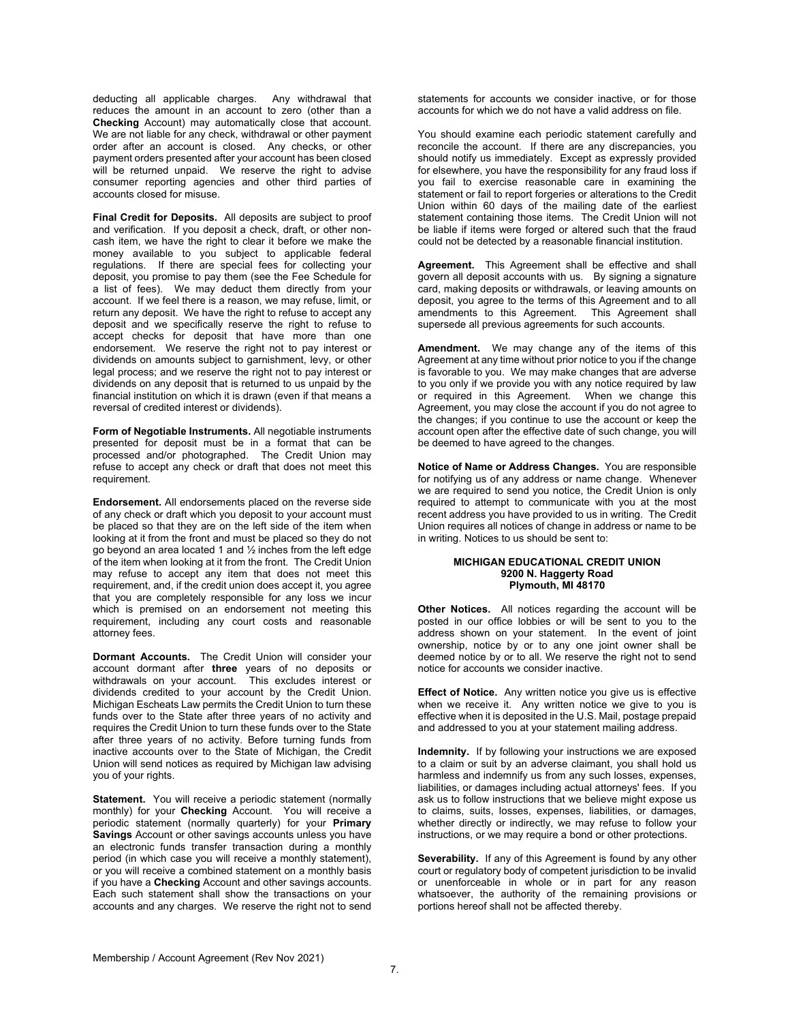deducting all applicable charges. Any withdrawal that reduces the amount in an account to zero (other than a **Checking** Account) may automatically close that account. We are not liable for any check, withdrawal or other payment order after an account is closed. Any checks, or other payment orders presented after your account has been closed will be returned unpaid. We reserve the right to advise consumer reporting agencies and other third parties of accounts closed for misuse.

**Final Credit for Deposits.** All deposits are subject to proof and verification. If you deposit a check, draft, or other noncash item, we have the right to clear it before we make the money available to you subject to applicable federal regulations. If there are special fees for collecting your deposit, you promise to pay them (see the Fee Schedule for a list of fees). We may deduct them directly from your account. If we feel there is a reason, we may refuse, limit, or return any deposit. We have the right to refuse to accept any deposit and we specifically reserve the right to refuse to accept checks for deposit that have more than one endorsement. We reserve the right not to pay interest or dividends on amounts subject to garnishment, levy, or other legal process; and we reserve the right not to pay interest or dividends on any deposit that is returned to us unpaid by the financial institution on which it is drawn (even if that means a reversal of credited interest or dividends).

**Form of Negotiable Instruments.** All negotiable instruments presented for deposit must be in a format that can be processed and/or photographed. The Credit Union may refuse to accept any check or draft that does not meet this requirement.

**Endorsement.** All endorsements placed on the reverse side of any check or draft which you deposit to your account must be placed so that they are on the left side of the item when looking at it from the front and must be placed so they do not go beyond an area located 1 and ½ inches from the left edge of the item when looking at it from the front. The Credit Union may refuse to accept any item that does not meet this requirement, and, if the credit union does accept it, you agree that you are completely responsible for any loss we incur which is premised on an endorsement not meeting this requirement, including any court costs and reasonable attorney fees.

**Dormant Accounts.** The Credit Union will consider your account dormant after **three** years of no deposits or withdrawals on your account. This excludes interest or dividends credited to your account by the Credit Union. Michigan Escheats Law permits the Credit Union to turn these funds over to the State after three years of no activity and requires the Credit Union to turn these funds over to the State after three years of no activity. Before turning funds from inactive accounts over to the State of Michigan, the Credit Union will send notices as required by Michigan law advising you of your rights.

**Statement.** You will receive a periodic statement (normally monthly) for your **Checking** Account. You will receive a periodic statement (normally quarterly) for your **Primary Savings** Account or other savings accounts unless you have an electronic funds transfer transaction during a monthly period (in which case you will receive a monthly statement), or you will receive a combined statement on a monthly basis if you have a **Checking** Account and other savings accounts. Each such statement shall show the transactions on your accounts and any charges. We reserve the right not to send statements for accounts we consider inactive, or for those accounts for which we do not have a valid address on file.

You should examine each periodic statement carefully and reconcile the account. If there are any discrepancies, you should notify us immediately. Except as expressly provided for elsewhere, you have the responsibility for any fraud loss if you fail to exercise reasonable care in examining the statement or fail to report forgeries or alterations to the Credit Union within 60 days of the mailing date of the earliest statement containing those items. The Credit Union will not be liable if items were forged or altered such that the fraud could not be detected by a reasonable financial institution.

**Agreement.** This Agreement shall be effective and shall govern all deposit accounts with us. By signing a signature card, making deposits or withdrawals, or leaving amounts on deposit, you agree to the terms of this Agreement and to all amendments to this Agreement. This Agreement shall supersede all previous agreements for such accounts.

**Amendment.** We may change any of the items of this Agreement at any time without prior notice to you if the change is favorable to you. We may make changes that are adverse to you only if we provide you with any notice required by law or required in this Agreement. When we change this Agreement, you may close the account if you do not agree to the changes; if you continue to use the account or keep the account open after the effective date of such change, you will be deemed to have agreed to the changes.

**Notice of Name or Address Changes.** You are responsible for notifying us of any address or name change. Whenever we are required to send you notice, the Credit Union is only required to attempt to communicate with you at the most recent address you have provided to us in writing. The Credit Union requires all notices of change in address or name to be in writing. Notices to us should be sent to:

## **MICHIGAN EDUCATIONAL CREDIT UNION 9200 N. Haggerty Road Plymouth, MI 48170**

**Other Notices.** All notices regarding the account will be posted in our office lobbies or will be sent to you to the address shown on your statement. In the event of joint ownership, notice by or to any one joint owner shall be deemed notice by or to all. We reserve the right not to send notice for accounts we consider inactive.

**Effect of Notice.** Any written notice you give us is effective when we receive it. Any written notice we give to you is effective when it is deposited in the U.S. Mail, postage prepaid and addressed to you at your statement mailing address.

**Indemnity.** If by following your instructions we are exposed to a claim or suit by an adverse claimant, you shall hold us harmless and indemnify us from any such losses, expenses, liabilities, or damages including actual attorneys' fees. If you ask us to follow instructions that we believe might expose us to claims, suits, losses, expenses, liabilities, or damages, whether directly or indirectly, we may refuse to follow your instructions, or we may require a bond or other protections.

**Severability.** If any of this Agreement is found by any other court or regulatory body of competent jurisdiction to be invalid or unenforceable in whole or in part for any reason whatsoever, the authority of the remaining provisions or portions hereof shall not be affected thereby.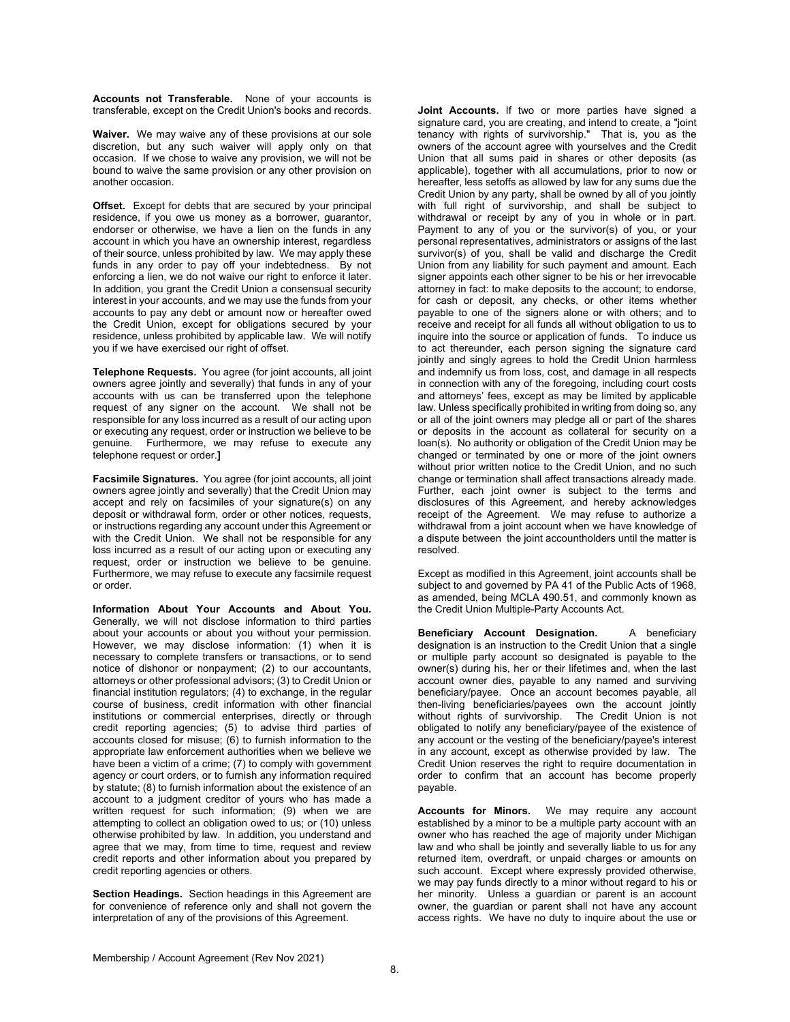**Accounts not Transferable.** None of your accounts is transferable, except on the Credit Union's books and records.

**Waiver.** We may waive any of these provisions at our sole discretion, but any such waiver will apply only on that occasion. If we chose to waive any provision, we will not be bound to waive the same provision or any other provision on another occasion.

**Offset.** Except for debts that are secured by your principal residence, if you owe us money as a borrower, guarantor, endorser or otherwise, we have a lien on the funds in any account in which you have an ownership interest, regardless of their source, unless prohibited by law. We may apply these funds in any order to pay off your indebtedness. By not enforcing a lien, we do not waive our right to enforce it later. In addition, you grant the Credit Union a consensual security interest in your accounts, and we may use the funds from your accounts to pay any debt or amount now or hereafter owed the Credit Union, except for obligations secured by your residence, unless prohibited by applicable law. We will notify you if we have exercised our right of offset.

**Telephone Requests.** You agree (for joint accounts, all joint owners agree jointly and severally) that funds in any of your accounts with us can be transferred upon the telephone request of any signer on the account. We shall not be responsible for any loss incurred as a result of our acting upon or executing any request, order or instruction we believe to be Furthermore, we may refuse to execute any telephone request or order.**]** 

**Facsimile Signatures.** You agree (for joint accounts, all joint owners agree jointly and severally) that the Credit Union may accept and rely on facsimiles of your signature(s) on any deposit or withdrawal form, order or other notices, requests, or instructions regarding any account under this Agreement or with the Credit Union. We shall not be responsible for any loss incurred as a result of our acting upon or executing any request, order or instruction we believe to be genuine. Furthermore, we may refuse to execute any facsimile request or order.

**Information About Your Accounts and About You.** Generally, we will not disclose information to third parties about your accounts or about you without your permission. However, we may disclose information: (1) when it is necessary to complete transfers or transactions, or to send notice of dishonor or nonpayment; (2) to our accountants, attorneys or other professional advisors; (3) to Credit Union or financial institution regulators: (4) to exchange, in the regular course of business, credit information with other financial institutions or commercial enterprises, directly or through credit reporting agencies; (5) to advise third parties of accounts closed for misuse; (6) to furnish information to the appropriate law enforcement authorities when we believe we have been a victim of a crime; (7) to comply with government agency or court orders, or to furnish any information required by statute; (8) to furnish information about the existence of an account to a judgment creditor of yours who has made a written request for such information; (9) when we are attempting to collect an obligation owed to us; or (10) unless otherwise prohibited by law. In addition, you understand and agree that we may, from time to time, request and review credit reports and other information about you prepared by credit reporting agencies or others.

**Section Headings.** Section headings in this Agreement are for convenience of reference only and shall not govern the interpretation of any of the provisions of this Agreement.

**Joint Accounts.** If two or more parties have signed a signature card, you are creating, and intend to create, a "joint tenancy with rights of survivorship." That is, you as the owners of the account agree with yourselves and the Credit Union that all sums paid in shares or other deposits (as applicable), together with all accumulations, prior to now or **hereafter, less setoffs as allowed by law for any sums due the** Credit Union by any party, shall be owned by all of you jointly with full right of survivorship, and shall be subject to withdrawal or receipt by any of you in whole or in part. Payment to any of you or the survivor(s) of you, or your personal representatives, administrators or assigns of the last survivor(s) of you, shall be valid and discharge the Credit Union from any liability for such payment and amount. Each signer appoints each other signer to be his or her irrevocable attorney in fact: to make deposits to the account; to endorse, for cash or deposit, any checks, or other items whether payable to one of the signers alone or with others; and to receive and receipt for all funds all without obligation to us to inquire into the source or application of funds. To induce us to act thereunder, each person signing the signature card jointly and singly agrees to hold the Credit Union harmless and indemnify us from loss, cost, and damage in all respects in connection with any of the foregoing, including court costs and attorneys' fees, except as may be limited by applicable law. Unless specifically prohibited in writing from doing so, any or all of the joint owners may pledge all or part of the shares or deposits in the account as collateral for security on a loan(s). No authority or obligation of the Credit Union may be changed or terminated by one or more of the joint owners without prior written notice to the Credit Union, and no such change or termination shall affect transactions already made. Further, each joint owner is subject to the terms and disclosures of this Agreement, and hereby acknowledges receipt of the Agreement. We may refuse to authorize a withdrawal from a joint account when we have knowledge of a dispute between the joint accountholders until the matter is resolved.

Except as modified in this Agreement, joint accounts shall be subject to and governed by PA 41 of the Public Acts of 1968, as amended, being MCLA 490.51, and commonly known as the Credit Union Multiple-Party Accounts Act.

**Beneficiary Account Designation.** A beneficiary designation is an instruction to the Credit Union that a single or multiple party account so designated is payable to the owner(s) during his, her or their lifetimes and, when the last account owner dies, payable to any named and surviving beneficiary/payee. Once an account becomes payable, all then-living beneficiaries/payees own the account jointly<br>without rights of survivorship. The Credit Union is not without rights of survivorship. obligated to notify any beneficiary/payee of the existence of any account or the vesting of the beneficiary/payee's interest in any account, except as otherwise provided by law. The Credit Union reserves the right to require documentation in order to confirm that an account has become properly payable.

**Accounts for Minors.** We may require any account established by a minor to be a multiple party account with an owner who has reached the age of majority under Michigan law and who shall be jointly and severally liable to us for any returned item, overdraft, or unpaid charges or amounts on such account. Except where expressly provided otherwise, we may pay funds directly to a minor without regard to his or her minority. Unless a guardian or parent is an account owner, the guardian or parent shall not have any account access rights. We have no duty to inquire about the use or